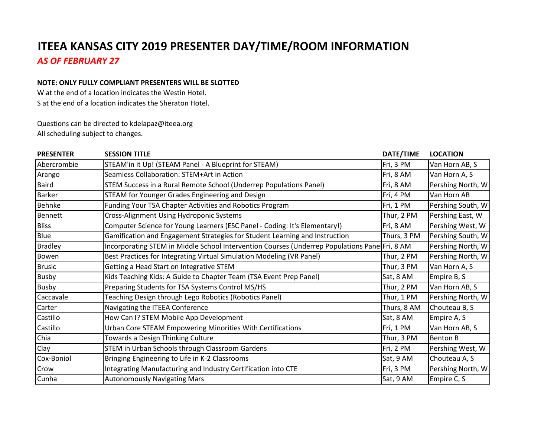## **ITEEA KANSAS CITY 2019 PRESENTER DAY/TIME/ROOM INFORMATION** *AS OF FEBRUARY 27*

## **NOTE: ONLY FULLY COMPLIANT PRESENTERS WILL BE SLOTTED**

W at the end of a location indicates the Westin Hotel. S at the end of a location indicates the Sheraton Hotel.

Questions can be directed to kdelapaz@iteea.org All scheduling subject to changes.

| <b>PRESENTER</b> | <b>SESSION TITLE</b>                                                                          | DATE/TIME   | <b>LOCATION</b>   |
|------------------|-----------------------------------------------------------------------------------------------|-------------|-------------------|
| Abercrombie      | STEAM'in it Up! (STEAM Panel - A Blueprint for STEAM)                                         | Fri, 3 PM   | Van Horn AB, S    |
| Arango           | Seamless Collaboration: STEM+Art in Action                                                    | Fri, 8 AM   | Van Horn A, S     |
| <b>Baird</b>     | STEM Success in a Rural Remote School (Underrep Populations Panel)                            | Fri, 8 AM   | Pershing North, W |
| Barker           | STEAM for Younger Grades Engineering and Design                                               | Fri, 4 PM   | Van Horn AB       |
| Behnke           | Funding Your TSA Chapter Activities and Robotics Program                                      | Fri, 1 PM   | Pershing South, W |
| Bennett          | Cross-Alignment Using Hydroponic Systems                                                      | Thur, 2 PM  | Pershing East, W  |
| <b>Bliss</b>     | Computer Science for Young Learners (ESC Panel - Coding: It's Elementary!)                    | Fri, 8 AM   | Pershing West, W  |
| Blue             | Gamification and Engagement Strategies for Student Learning and Instruction                   | Thurs, 3 PM | Pershing South, W |
| <b>Bradley</b>   | Incorporating STEM in Middle School Intervention Courses (Underrep Populations Pane Fri, 8 AM |             | Pershing North, W |
| Bowen            | Best Practices for Integrating Virtual Simulation Modeling (VR Panel)                         | Thur, 2 PM  | Pershing North, W |
| <b>Brusic</b>    | Getting a Head Start on Integrative STEM                                                      | Thur, 3 PM  | Van Horn A, S     |
| <b>Busby</b>     | Kids Teaching Kids: A Guide to Chapter Team (TSA Event Prep Panel)                            | Sat, 8 AM   | Empire B, S       |
| Busby            | Preparing Students for TSA Systems Control MS/HS                                              | Thur, 2 PM  | Van Horn AB, S    |
| Caccavale        | Teaching Design through Lego Robotics (Robotics Panel)                                        | Thur, 1 PM  | Pershing North, W |
| Carter           | Navigating the ITEEA Conference                                                               | Thurs, 8 AM | Chouteau B, S     |
| Castillo         | How Can I? STEM Mobile App Development                                                        | Sat, 8 AM   | Empire A, S       |
| Castillo         | Urban Core STEAM Empowering Minorities With Certifications                                    | Fri, 1 PM   | Van Horn AB, S    |
| Chia             | Towards a Design Thinking Culture                                                             | Thur, 3 PM  | <b>Benton B</b>   |
| Clay             | STEM in Urban Schools through Classroom Gardens                                               | Fri, 2 PM   | Pershing West, W  |
| Cox-Boniol       | Bringing Engineering to Life in K-2 Classrooms                                                | Sat, 9 AM   | Chouteau A, S     |
| Crow             | Integrating Manufacturing and Industry Certification into CTE                                 | Fri, 3 PM   | Pershing North, W |
| Cunha            | <b>Autonomously Navigating Mars</b>                                                           | Sat, 9 AM   | Empire C, S       |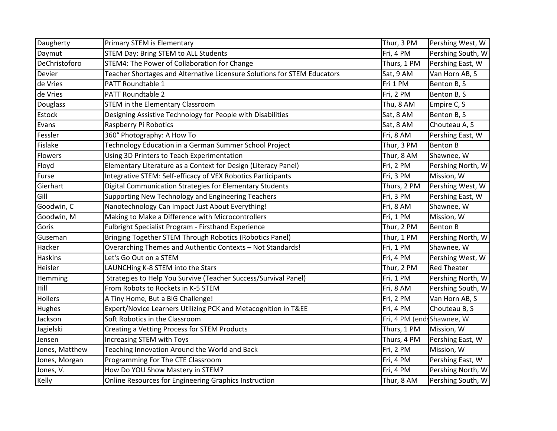| Daugherty      | Primary STEM is Elementary                                               | Thur, 3 PM                 | Pershing West, W   |
|----------------|--------------------------------------------------------------------------|----------------------------|--------------------|
| Daymut         | <b>STEM Day: Bring STEM to ALL Students</b>                              | Fri, 4 PM                  | Pershing South, W  |
| DeChristoforo  | STEM4: The Power of Collaboration for Change                             | Thurs, 1 PM                | Pershing East, W   |
| Devier         | Teacher Shortages and Alternative Licensure Solutions for STEM Educators | Sat, 9 AM                  | Van Horn AB, S     |
| de Vries       | PATT Roundtable 1                                                        | Fri 1 PM                   | Benton B, S        |
| de Vries       | PATT Roundtable 2                                                        | Fri, 2 PM                  | Benton B, S        |
| Douglass       | <b>STEM in the Elementary Classroom</b>                                  | Thu, 8 AM                  | Empire C, S        |
| Estock         | Designing Assistive Technology for People with Disabilities              | Sat, 8 AM                  | Benton B, S        |
| Evans          | Raspberry Pi Robotics                                                    | Sat, 8 AM                  | Chouteau A, S      |
| Fessler        | 360° Photography: A How To                                               | Fri, 8 AM                  | Pershing East, W   |
| Fislake        | Technology Education in a German Summer School Project                   | Thur, 3 PM                 | <b>Benton B</b>    |
| Flowers        | Using 3D Printers to Teach Experimentation                               | Thur, 8 AM                 | Shawnee, W         |
| Floyd          | Elementary Literature as a Context for Design (Literacy Panel)           | Fri, 2 PM                  | Pershing North, W  |
| Furse          | Integrative STEM: Self-efficacy of VEX Robotics Participants             | Fri, 3 PM                  | Mission, W         |
| Gierhart       | Digital Communication Strategies for Elementary Students                 | Thurs, 2 PM                | Pershing West, W   |
| Gill           | Supporting New Technology and Engineering Teachers                       | Fri, 3 PM                  | Pershing East, W   |
| Goodwin, C     | Nanotechnology Can Impact Just About Everything!                         | Fri, 8 AM                  | Shawnee, W         |
| Goodwin, M     | Making to Make a Difference with Microcontrollers                        | Fri, 1 PM                  | Mission, W         |
| Goris          | Fulbright Specialist Program - Firsthand Experience                      | Thur, 2 PM                 | <b>Benton B</b>    |
| Guseman        | Bringing Together STEM Through Robotics (Robotics Panel)                 | Thur, 1 PM                 | Pershing North, W  |
| Hacker         | Overarching Themes and Authentic Contexts - Not Standards!               | Fri, 1 PM                  | Shawnee, W         |
| <b>Haskins</b> | Let's Go Out on a STEM                                                   | Fri, 4 PM                  | Pershing West, W   |
| Heisler        | LAUNCHing K-8 STEM into the Stars                                        | Thur, 2 PM                 | <b>Red Theater</b> |
| Hemming        | Strategies to Help You Survive (Teacher Success/Survival Panel)          | Fri, 1 PM                  | Pershing North, W  |
| Hill           | From Robots to Rockets in K-5 STEM                                       | Fri, 8 AM                  | Pershing South, W  |
| Hollers        | A Tiny Home, But a BIG Challenge!                                        | Fri, 2 PM                  | Van Horn AB, S     |
| Hughes         | Expert/Novice Learners Utilizing PCK and Metacognition in T&EE           | Fri, 4 PM                  | Chouteau B, S      |
| Jackson        | Soft Robotics in the Classroom                                           | Fri, 4 PM (end: Shawnee, W |                    |
| Jagielski      | Creating a Vetting Process for STEM Products                             | Thurs, 1 PM                | Mission, W         |
| Jensen         | Increasing STEM with Toys                                                | Thurs, 4 PM                | Pershing East, W   |
| Jones, Matthew | Teaching Innovation Around the World and Back                            | Fri, 2 PM                  | Mission, W         |
| Jones, Morgan  | Programming For The CTE Classroom                                        | Fri, 4 PM                  | Pershing East, W   |
| Jones, V.      | How Do YOU Show Mastery in STEM?                                         | Fri, 4 PM                  | Pershing North, W  |
| Kelly          | Online Resources for Engineering Graphics Instruction                    | Thur, 8 AM                 | Pershing South, W  |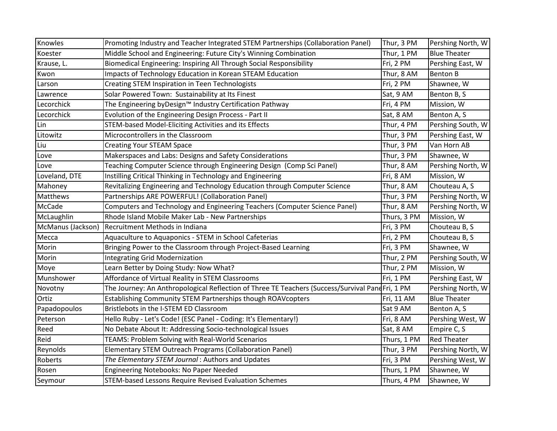| Knowles           | Promoting Industry and Teacher Integrated STEM Partnerships (Collaboration Panel)               | Thur, 3 PM  | Pershing North, W   |
|-------------------|-------------------------------------------------------------------------------------------------|-------------|---------------------|
| Koester           | Middle School and Engineering: Future City's Winning Combination                                | Thur, 1 PM  | <b>Blue Theater</b> |
| Krause, L.        | Biomedical Engineering: Inspiring All Through Social Responsibility                             | Fri, 2 PM   | Pershing East, W    |
| Kwon              | Impacts of Technology Education in Korean STEAM Education                                       | Thur, 8 AM  | <b>Benton B</b>     |
| Larson            | <b>Creating STEM Inspiration in Teen Technologists</b>                                          | Fri, 2 PM   | Shawnee, W          |
| Lawrence          | Solar Powered Town: Sustainability at Its Finest                                                | Sat, 9 AM   | Benton B, S         |
| Lecorchick        | The Engineering byDesign™ Industry Certification Pathway                                        | Fri, 4 PM   | Mission, W          |
| Lecorchick        | Evolution of the Engineering Design Process - Part II                                           | Sat, 8 AM   | Benton A, S         |
| Lin               | STEM-based Model-Eliciting Activities and its Effects                                           | Thur, 4 PM  | Pershing South, W   |
| Litowitz          | Microcontrollers in the Classroom                                                               | Thur, 3 PM  | Pershing East, W    |
| Liu               | <b>Creating Your STEAM Space</b>                                                                | Thur, 3 PM  | Van Horn AB         |
| Love              | Makerspaces and Labs: Designs and Safety Considerations                                         | Thur, 3 PM  | Shawnee, W          |
| Love              | Teaching Computer Science through Engineering Design (Comp Sci Panel)                           | Thur, 8 AM  | Pershing North, W   |
| Loveland, DTE     | Instilling Critical Thinking in Technology and Engineering                                      | Fri, 8 AM   | Mission, W          |
| Mahoney           | Revitalizing Engineering and Technology Education through Computer Science                      | Thur, 8 AM  | Chouteau A, S       |
| Matthews          | Partnerships ARE POWERFUL! (Collaboration Panel)                                                | Thur, 3 PM  | Pershing North, W   |
| McCade            | Computers and Technology and Engineering Teachers (Computer Science Panel)                      | Thur, 8 AM  | Pershing North, W   |
| McLaughlin        | Rhode Island Mobile Maker Lab - New Partnerships                                                | Thurs, 3 PM | Mission, W          |
| McManus (Jackson) | Recruitment Methods in Indiana                                                                  | Fri, 3 PM   | Chouteau B, S       |
| Mecca             | Aquaculture to Aquaponics - STEM in School Cafeterias                                           | Fri, 2 PM   | Chouteau B, S       |
| Morin             | Bringing Power to the Classroom through Project-Based Learning                                  | Fri, 3 PM   | Shawnee, W          |
| Morin             | <b>Integrating Grid Modernization</b>                                                           | Thur, 2 PM  | Pershing South, W   |
| Moye              | Learn Better by Doing Study: Now What?                                                          | Thur, 2 PM  | Mission, W          |
| Munshower         | Affordance of Virtual Reality in STEM Classrooms                                                | Fri, 1 PM   | Pershing East, W    |
| Novotny           | The Journey: An Anthropological Reflection of Three TE Teachers (Success/Survival PandFri, 1 PM |             | Pershing North, W   |
| Ortiz             | <b>Establishing Community STEM Partnerships though ROAVcopters</b>                              | Fri, 11 AM  | <b>Blue Theater</b> |
| Papadopoulos      | Bristlebots in the I-STEM ED Classroom                                                          | Sat 9 AM    | Benton A, S         |
| Peterson          | Hello Ruby - Let's Code! (ESC Panel - Coding: It's Elementary!)                                 | Fri, 8 AM   | Pershing West, W    |
| Reed              | No Debate About It: Addressing Socio-technological Issues                                       | Sat, 8 AM   | Empire C, S         |
| Reid              | TEAMS: Problem Solving with Real-World Scenarios                                                | Thurs, 1 PM | <b>Red Theater</b>  |
| Reynolds          | Elementary STEM Outreach Programs (Collaboration Panel)                                         | Thur, 3 PM  | Pershing North, W   |
| Roberts           | The Elementary STEM Journal: Authors and Updates                                                | Fri, 3 PM   | Pershing West, W    |
| Rosen             | Engineering Notebooks: No Paper Needed                                                          | Thurs, 1 PM | Shawnee, W          |
| Seymour           | STEM-based Lessons Require Revised Evaluation Schemes                                           | Thurs, 4 PM | Shawnee, W          |